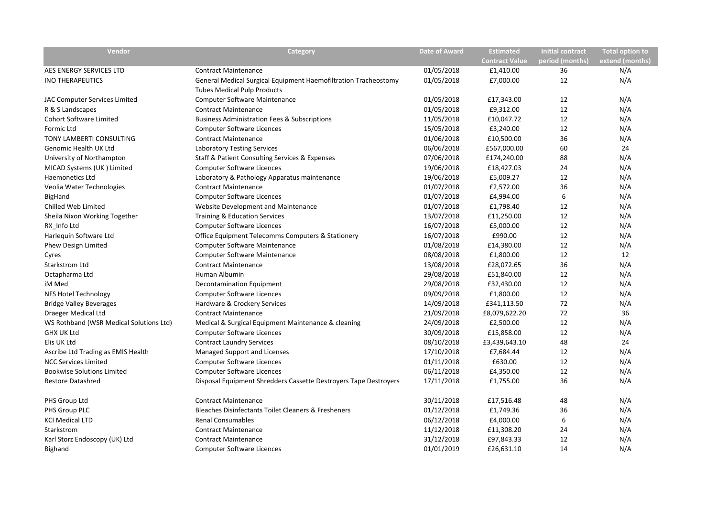| Vendor                                  | Category                                                         | <b>Date of Award</b> | <b>Estimated</b>      | <b>Initial contract</b> | <b>Total option to</b> |
|-----------------------------------------|------------------------------------------------------------------|----------------------|-----------------------|-------------------------|------------------------|
|                                         |                                                                  |                      | <b>Contract Value</b> | period (months)         | extend (months)        |
| AES ENERGY SERVICES LTD                 | <b>Contract Maintenance</b>                                      | 01/05/2018           | £1,410.00             | 36                      | N/A                    |
| <b>INO THERAPEUTICS</b>                 | General Medical Surgical Equipment Haemofiltration Tracheostomy  | 01/05/2018           | £7,000.00             | 12                      | N/A                    |
|                                         | <b>Tubes Medical Pulp Products</b>                               |                      |                       |                         |                        |
| JAC Computer Services Limited           | <b>Computer Software Maintenance</b>                             | 01/05/2018           | £17,343.00            | 12                      | N/A                    |
| R & S Landscapes                        | <b>Contract Maintenance</b>                                      | 01/05/2018           | £9,312.00             | 12                      | N/A                    |
| <b>Cohort Software Limited</b>          | <b>Business Administration Fees &amp; Subscriptions</b>          | 11/05/2018           | £10,047.72            | 12                      | N/A                    |
| Formic Ltd                              | <b>Computer Software Licences</b>                                | 15/05/2018           | £3,240.00             | 12                      | N/A                    |
| TONY LAMBERTI CONSULTING                | <b>Contract Maintenance</b>                                      | 01/06/2018           | £10,500.00            | 36                      | N/A                    |
| <b>Genomic Health UK Ltd</b>            | <b>Laboratory Testing Services</b>                               | 06/06/2018           | £567,000.00           | 60                      | 24                     |
| University of Northampton               | Staff & Patient Consulting Services & Expenses                   | 07/06/2018           | £174,240.00           | 88                      | N/A                    |
| MICAD Systems (UK) Limited              | <b>Computer Software Licences</b>                                | 19/06/2018           | £18,427.03            | 24                      | N/A                    |
| <b>Haemonetics Ltd</b>                  | Laboratory & Pathology Apparatus maintenance                     | 19/06/2018           | £5,009.27             | 12                      | N/A                    |
| Veolia Water Technologies               | <b>Contract Maintenance</b>                                      | 01/07/2018           | £2,572.00             | 36                      | N/A                    |
| BigHand                                 | <b>Computer Software Licences</b>                                | 01/07/2018           | £4,994.00             | 6                       | N/A                    |
| Chilled Web Limited                     | Website Development and Maintenance                              | 01/07/2018           | £1,798.40             | 12                      | N/A                    |
| Sheila Nixon Working Together           | <b>Training &amp; Education Services</b>                         | 13/07/2018           | £11,250.00            | 12                      | N/A                    |
| RX Info Ltd                             | <b>Computer Software Licences</b>                                | 16/07/2018           | £5,000.00             | 12                      | N/A                    |
| Harlequin Software Ltd                  | Office Equipment Telecomms Computers & Stationery                | 16/07/2018           | £990.00               | 12                      | N/A                    |
| <b>Phew Design Limited</b>              | Computer Software Maintenance                                    | 01/08/2018           | £14,380.00            | 12                      | N/A                    |
| Cyres                                   | Computer Software Maintenance                                    | 08/08/2018           | £1,800.00             | 12                      | 12                     |
| Starkstrom Ltd                          | <b>Contract Maintenance</b>                                      | 13/08/2018           | £28,072.65            | 36                      | N/A                    |
| Octapharma Ltd                          | Human Albumin                                                    | 29/08/2018           | £51,840.00            | 12                      | N/A                    |
| iM Med                                  | Decontamination Equipment                                        | 29/08/2018           | £32,430.00            | 12                      | N/A                    |
| NFS Hotel Technology                    | <b>Computer Software Licences</b>                                | 09/09/2018           | £1,800.00             | 12                      | N/A                    |
| <b>Bridge Valley Beverages</b>          | Hardware & Crockery Services                                     | 14/09/2018           | £341,113.50           | 72                      | N/A                    |
| Draeger Medical Ltd                     | <b>Contract Maintenance</b>                                      | 21/09/2018           | £8,079,622.20         | 72                      | 36                     |
| WS Rothband (WSR Medical Solutions Ltd) | Medical & Surgical Equipment Maintenance & cleaning              | 24/09/2018           | £2,500.00             | 12                      | N/A                    |
| <b>GHX UK Ltd</b>                       | <b>Computer Software Licences</b>                                | 30/09/2018           | £15,858.00            | 12                      | N/A                    |
| Elis UK Ltd                             | <b>Contract Laundry Services</b>                                 | 08/10/2018           | £3,439,643.10         | 48                      | 24                     |
| Ascribe Ltd Trading as EMIS Health      | Managed Support and Licenses                                     | 17/10/2018           | £7,684.44             | 12                      | N/A                    |
| <b>NCC Services Limited</b>             | <b>Computer Software Licences</b>                                | 01/11/2018           | £630.00               | 12                      | N/A                    |
| <b>Bookwise Solutions Limited</b>       | <b>Computer Software Licences</b>                                | 06/11/2018           | £4,350.00             | 12                      | N/A                    |
| <b>Restore Datashred</b>                | Disposal Equipment Shredders Cassette Destroyers Tape Destroyers | 17/11/2018           | £1,755.00             | 36                      | N/A                    |
| PHS Group Ltd                           | <b>Contract Maintenance</b>                                      | 30/11/2018           | £17,516.48            | 48                      | N/A                    |
| PHS Group PLC                           | Bleaches Disinfectants Toilet Cleaners & Fresheners              | 01/12/2018           | £1,749.36             | 36                      | N/A                    |
| <b>KCI Medical LTD</b>                  | <b>Renal Consumables</b>                                         | 06/12/2018           | £4,000.00             | 6                       | N/A                    |
| Starkstrom                              | <b>Contract Maintenance</b>                                      | 11/12/2018           | £11,308.20            | 24                      | N/A                    |
| Karl Storz Endoscopy (UK) Ltd           | <b>Contract Maintenance</b>                                      | 31/12/2018           | £97,843.33            | 12                      | N/A                    |
| Bighand                                 | <b>Computer Software Licences</b>                                | 01/01/2019           | £26,631.10            | 14                      | N/A                    |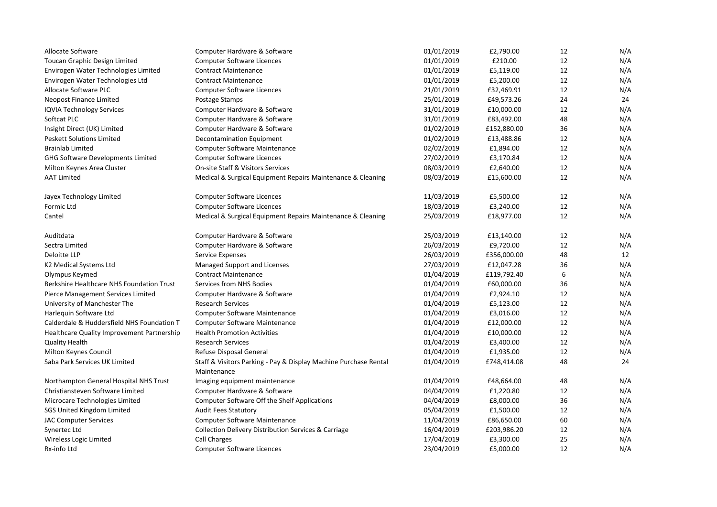| Allocate Software                                 | Computer Hardware & Software                                                    | 01/01/2019 | £2,790.00   | 12 | N/A |
|---------------------------------------------------|---------------------------------------------------------------------------------|------------|-------------|----|-----|
| Toucan Graphic Design Limited                     | <b>Computer Software Licences</b>                                               | 01/01/2019 | £210.00     | 12 | N/A |
| Envirogen Water Technologies Limited              | <b>Contract Maintenance</b>                                                     | 01/01/2019 | £5,119.00   | 12 | N/A |
| Envirogen Water Technologies Ltd                  | <b>Contract Maintenance</b>                                                     | 01/01/2019 | £5,200.00   | 12 | N/A |
| Allocate Software PLC                             | <b>Computer Software Licences</b>                                               | 21/01/2019 | £32,469.91  | 12 | N/A |
| Neopost Finance Limited                           | Postage Stamps                                                                  | 25/01/2019 | £49,573.26  | 24 | 24  |
| <b>IQVIA Technology Services</b>                  | Computer Hardware & Software                                                    | 31/01/2019 | £10,000.00  | 12 | N/A |
| Softcat PLC                                       | Computer Hardware & Software                                                    | 31/01/2019 | £83,492.00  | 48 | N/A |
| Insight Direct (UK) Limited                       | Computer Hardware & Software                                                    | 01/02/2019 | £152,880.00 | 36 | N/A |
| <b>Peskett Solutions Limited</b>                  | <b>Decontamination Equipment</b>                                                | 01/02/2019 | £13,488.86  | 12 | N/A |
| <b>Brainlab Limited</b>                           | Computer Software Maintenance                                                   | 02/02/2019 | £1,894.00   | 12 | N/A |
| <b>GHG Software Developments Limited</b>          | <b>Computer Software Licences</b>                                               | 27/02/2019 | £3,170.84   | 12 | N/A |
| Milton Keynes Area Cluster                        | <b>On-site Staff &amp; Visitors Services</b>                                    | 08/03/2019 | £2,640.00   | 12 | N/A |
| <b>AAT Limited</b>                                | Medical & Surgical Equipment Repairs Maintenance & Cleaning                     | 08/03/2019 | £15,600.00  | 12 | N/A |
| Jayex Technology Limited                          | <b>Computer Software Licences</b>                                               | 11/03/2019 | £5,500.00   | 12 | N/A |
| Formic Ltd                                        | Computer Software Licences                                                      | 18/03/2019 | £3,240.00   | 12 | N/A |
| Cantel                                            | Medical & Surgical Equipment Repairs Maintenance & Cleaning                     | 25/03/2019 | £18,977.00  | 12 | N/A |
| Auditdata                                         | Computer Hardware & Software                                                    | 25/03/2019 | £13,140.00  | 12 | N/A |
| Sectra Limited                                    | Computer Hardware & Software                                                    | 26/03/2019 | £9,720.00   | 12 | N/A |
| Deloitte LLP                                      | Service Expenses                                                                | 26/03/2019 | £356,000.00 | 48 | 12  |
| K2 Medical Systems Ltd                            | Managed Support and Licenses                                                    | 27/03/2019 | £12,047.28  | 36 | N/A |
| Olympus Keymed                                    | <b>Contract Maintenance</b>                                                     | 01/04/2019 | £119,792.40 | 6  | N/A |
| Berkshire Healthcare NHS Foundation Trust         | Services from NHS Bodies                                                        | 01/04/2019 | £60,000.00  | 36 | N/A |
| Pierce Management Services Limited                | Computer Hardware & Software                                                    | 01/04/2019 | £2,924.10   | 12 | N/A |
| University of Manchester The                      | <b>Research Services</b>                                                        | 01/04/2019 | £5,123.00   | 12 | N/A |
| Harlequin Software Ltd                            | Computer Software Maintenance                                                   | 01/04/2019 | £3,016.00   | 12 | N/A |
| Calderdale & Huddersfield NHS Foundation T        | <b>Computer Software Maintenance</b>                                            | 01/04/2019 | £12,000.00  | 12 | N/A |
| <b>Healthcare Quality Improvement Partnership</b> | <b>Health Promotion Activities</b>                                              | 01/04/2019 | £10,000.00  | 12 | N/A |
| <b>Quality Health</b>                             | <b>Research Services</b>                                                        | 01/04/2019 | £3,400.00   | 12 | N/A |
| Milton Keynes Council                             | Refuse Disposal General                                                         | 01/04/2019 | £1,935.00   | 12 | N/A |
| Saba Park Services UK Limited                     | Staff & Visitors Parking - Pay & Display Machine Purchase Rental<br>Maintenance | 01/04/2019 | £748,414.08 | 48 | 24  |
| Northampton General Hospital NHS Trust            | Imaging equipment maintenance                                                   | 01/04/2019 | £48,664.00  | 48 | N/A |
| Christiansteven Software Limited                  | Computer Hardware & Software                                                    | 04/04/2019 | £1,220.80   | 12 | N/A |
| Microcare Technologies Limited                    | Computer Software Off the Shelf Applications                                    | 04/04/2019 | £8,000.00   | 36 | N/A |
| SGS United Kingdom Limited                        | <b>Audit Fees Statutory</b>                                                     | 05/04/2019 | £1,500.00   | 12 | N/A |
| <b>JAC Computer Services</b>                      | Computer Software Maintenance                                                   | 11/04/2019 | £86,650.00  | 60 | N/A |
| Synertec Ltd                                      | Collection Delivery Distribution Services & Carriage                            | 16/04/2019 | £203,986.20 | 12 | N/A |
| Wireless Logic Limited                            | <b>Call Charges</b>                                                             | 17/04/2019 | £3,300.00   | 25 | N/A |
| Rx-info Ltd                                       | <b>Computer Software Licences</b>                                               | 23/04/2019 | £5,000.00   | 12 | N/A |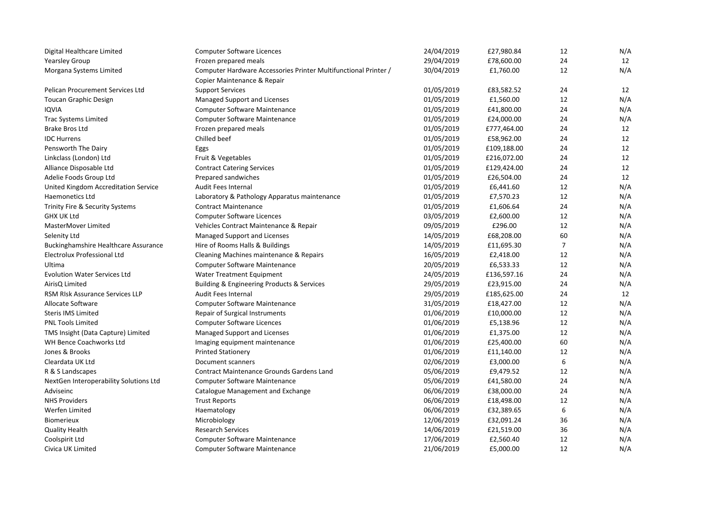| Digital Healthcare Limited                  | <b>Computer Software Licences</b>                               | 24/04/2019 | £27,980.84  | 12     | N/A |
|---------------------------------------------|-----------------------------------------------------------------|------------|-------------|--------|-----|
| <b>Yearsley Group</b>                       | Frozen prepared meals                                           | 29/04/2019 | £78,600.00  | 24     | 12  |
| Morgana Systems Limited                     | Computer Hardware Accessories Printer Multifunctional Printer / | 30/04/2019 | £1,760.00   | 12     | N/A |
|                                             | Copier Maintenance & Repair                                     |            |             |        |     |
| Pelican Procurement Services Ltd            | <b>Support Services</b>                                         | 01/05/2019 | £83,582.52  | 24     | 12  |
| <b>Toucan Graphic Design</b>                | Managed Support and Licenses                                    | 01/05/2019 | £1,560.00   | 12     | N/A |
| <b>IQVIA</b>                                | <b>Computer Software Maintenance</b>                            | 01/05/2019 | £41,800.00  | 24     | N/A |
| <b>Trac Systems Limited</b>                 | <b>Computer Software Maintenance</b>                            | 01/05/2019 | £24,000.00  | 24     | N/A |
| Brake Bros Ltd                              | Frozen prepared meals                                           | 01/05/2019 | £777,464.00 | 24     | 12  |
| <b>IDC Hurrens</b>                          | Chilled beef                                                    | 01/05/2019 | £58,962.00  | 24     | 12  |
| Pensworth The Dairy                         | Eggs                                                            | 01/05/2019 | £109,188.00 | 24     | 12  |
| Linkclass (London) Ltd                      | Fruit & Vegetables                                              | 01/05/2019 | £216,072.00 | 24     | 12  |
| Alliance Disposable Ltd                     | <b>Contract Catering Services</b>                               | 01/05/2019 | £129,424.00 | 24     | 12  |
| Adelie Foods Group Ltd                      | Prepared sandwiches                                             | 01/05/2019 | £26,504.00  | 24     | 12  |
| United Kingdom Accreditation Service        | Audit Fees Internal                                             | 01/05/2019 | £6,441.60   | 12     | N/A |
| <b>Haemonetics Ltd</b>                      | Laboratory & Pathology Apparatus maintenance                    | 01/05/2019 | £7,570.23   | 12     | N/A |
| Trinity Fire & Security Systems             | <b>Contract Maintenance</b>                                     | 01/05/2019 | £1,606.64   | 24     | N/A |
| <b>GHX UK Ltd</b>                           | <b>Computer Software Licences</b>                               | 03/05/2019 | £2,600.00   | 12     | N/A |
| MasterMover Limited                         | Vehicles Contract Maintenance & Repair                          | 09/05/2019 | £296.00     | 12     | N/A |
| Selenity Ltd                                | Managed Support and Licenses                                    | 14/05/2019 | £68,208.00  | 60     | N/A |
| <b>Buckinghamshire Healthcare Assurance</b> | Hire of Rooms Halls & Buildings                                 | 14/05/2019 | £11,695.30  | 7      | N/A |
| Electrolux Professional Ltd                 | Cleaning Machines maintenance & Repairs                         | 16/05/2019 | £2,418.00   | 12     | N/A |
| Ultima                                      | Computer Software Maintenance                                   | 20/05/2019 | £6,533.33   | 12     | N/A |
| <b>Evolution Water Services Ltd</b>         | <b>Water Treatment Equipment</b>                                | 24/05/2019 | £136,597.16 | 24     | N/A |
| AirisQ Limited                              | Building & Engineering Products & Services                      | 29/05/2019 | £23,915.00  | 24     | N/A |
| RSM RIsk Assurance Services LLP             | <b>Audit Fees Internal</b>                                      | 29/05/2019 | £185,625.00 | 24     | 12  |
| Allocate Software                           | Computer Software Maintenance                                   | 31/05/2019 | £18,427.00  | 12     | N/A |
| <b>Steris IMS Limited</b>                   | Repair of Surgical Instruments                                  | 01/06/2019 | £10,000.00  | 12     | N/A |
| <b>PNL Tools Limited</b>                    | <b>Computer Software Licences</b>                               | 01/06/2019 | £5,138.96   | $12\,$ | N/A |
| TMS Insight (Data Capture) Limited          | Managed Support and Licenses                                    | 01/06/2019 | £1,375.00   | 12     | N/A |
| WH Bence Coachworks Ltd                     | Imaging equipment maintenance                                   | 01/06/2019 | £25,400.00  | 60     | N/A |
| Jones & Brooks                              | <b>Printed Stationery</b>                                       | 01/06/2019 | £11,140.00  | 12     | N/A |
| Cleardata UK Ltd                            | Document scanners                                               | 02/06/2019 | £3,000.00   | 6      | N/A |
| R & S Landscapes                            | <b>Contract Maintenance Grounds Gardens Land</b>                | 05/06/2019 | £9,479.52   | 12     | N/A |
| NextGen Interoperability Solutions Ltd      | Computer Software Maintenance                                   | 05/06/2019 | £41,580.00  | 24     | N/A |
| Adviseinc                                   | Catalogue Management and Exchange                               | 06/06/2019 | £38,000.00  | 24     | N/A |
| <b>NHS Providers</b>                        | <b>Trust Reports</b>                                            | 06/06/2019 | £18,498.00  | 12     | N/A |
| Werfen Limited                              | Haematology                                                     | 06/06/2019 | £32,389.65  | 6      | N/A |
| <b>Biomerieux</b>                           | Microbiology                                                    | 12/06/2019 | £32,091.24  | 36     | N/A |
| <b>Quality Health</b>                       | <b>Research Services</b>                                        | 14/06/2019 | £21,519.00  | 36     | N/A |
| Coolspirit Ltd                              | <b>Computer Software Maintenance</b>                            | 17/06/2019 | £2,560.40   | 12     | N/A |
| Civica UK Limited                           | <b>Computer Software Maintenance</b>                            | 21/06/2019 | £5,000.00   | 12     | N/A |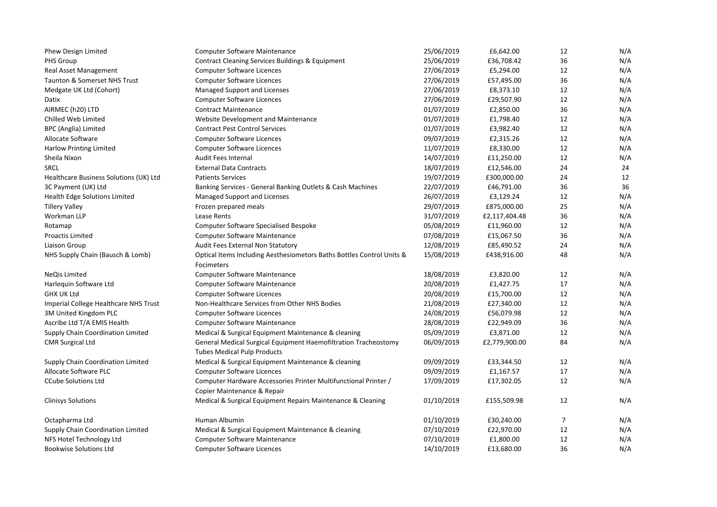| Phew Design Limited                    | <b>Computer Software Maintenance</b>                                                                  | 25/06/2019 | £6,642.00     | 12             | N/A |
|----------------------------------------|-------------------------------------------------------------------------------------------------------|------------|---------------|----------------|-----|
| PHS Group                              | Contract Cleaning Services Buildings & Equipment                                                      | 25/06/2019 | £36,708.42    | 36             | N/A |
| <b>Real Asset Management</b>           | <b>Computer Software Licences</b>                                                                     | 27/06/2019 | £5,294.00     | 12             | N/A |
| Taunton & Somerset NHS Trust           | <b>Computer Software Licences</b>                                                                     | 27/06/2019 | £57,495.00    | 36             | N/A |
| Medgate UK Ltd (Cohort)                | Managed Support and Licenses                                                                          | 27/06/2019 | £8,373.10     | 12             | N/A |
| Datix                                  | <b>Computer Software Licences</b>                                                                     | 27/06/2019 | £29,507.90    | 12             | N/A |
| AIRMEC (h20) LTD                       | <b>Contract Maintenance</b>                                                                           | 01/07/2019 | £2,850.00     | 36             | N/A |
| Chilled Web Limited                    | Website Development and Maintenance                                                                   | 01/07/2019 | £1,798.40     | 12             | N/A |
| BPC (Anglia) Limited                   | <b>Contract Pest Control Services</b>                                                                 | 01/07/2019 | £3,982.40     | 12             | N/A |
| Allocate Software                      | <b>Computer Software Licences</b>                                                                     | 09/07/2019 | £2,315.26     | 12             | N/A |
| <b>Harlow Printing Limited</b>         | <b>Computer Software Licences</b>                                                                     | 11/07/2019 | £8,330.00     | 12             | N/A |
| Sheila Nixon                           | <b>Audit Fees Internal</b>                                                                            | 14/07/2019 | £11,250.00    | 12             | N/A |
| <b>SRCL</b>                            | <b>External Data Contracts</b>                                                                        | 18/07/2019 | £12,546.00    | 24             | 24  |
| Healthcare Business Solutions (UK) Ltd | <b>Patients Services</b>                                                                              | 19/07/2019 | £300,000.00   | 24             | 12  |
| 3C Payment (UK) Ltd                    | Banking Services - General Banking Outlets & Cash Machines                                            | 22/07/2019 | £46,791.00    | 36             | 36  |
| Health Edge Solutions Limited          | Managed Support and Licenses                                                                          | 26/07/2019 | £3,129.24     | 12             | N/A |
| <b>Tillery Valley</b>                  | Frozen prepared meals                                                                                 | 29/07/2019 | £875,000.00   | 25             | N/A |
| Workman LLP                            | Lease Rents                                                                                           | 31/07/2019 | £2,117,404.48 | 36             | N/A |
| Rotamap                                | <b>Computer Software Specialised Bespoke</b>                                                          | 05/08/2019 | £11,960.00    | 12             | N/A |
| Proactis Limited                       | <b>Computer Software Maintenance</b>                                                                  | 07/08/2019 | £15,067.50    | 36             | N/A |
| Liaison Group                          | Audit Fees External Non Statutory                                                                     | 12/08/2019 | £85,490.52    | 24             | N/A |
| NHS Supply Chain (Bausch & Lomb)       | Optical Items Including Aesthesiometors Baths Bottles Control Units &<br>Focimeters                   | 15/08/2019 | £438,916.00   | 48             | N/A |
| NeQis Limited                          | Computer Software Maintenance                                                                         | 18/08/2019 | £3,820.00     | 12             | N/A |
| Harlequin Software Ltd                 | Computer Software Maintenance                                                                         | 20/08/2019 | £1,427.75     | 17             | N/A |
| <b>GHX UK Ltd</b>                      | <b>Computer Software Licences</b>                                                                     | 20/08/2019 | £15,700.00    | 12             | N/A |
| Imperial College Healthcare NHS Trust  | Non-Healthcare Services from Other NHS Bodies                                                         | 21/08/2019 | £27,340.00    | 12             | N/A |
| 3M United Kingdom PLC                  | <b>Computer Software Licences</b>                                                                     | 24/08/2019 | £56,079.98    | 12             | N/A |
| Ascribe Ltd T/A EMIS Health            | <b>Computer Software Maintenance</b>                                                                  | 28/08/2019 | £22,949.09    | 36             | N/A |
| Supply Chain Coordination Limited      | Medical & Surgical Equipment Maintenance & cleaning                                                   | 05/09/2019 | £3,871.00     | 12             | N/A |
| <b>CMR Surgical Ltd</b>                | General Medical Surgical Equipment Haemofiltration Tracheostomy<br><b>Tubes Medical Pulp Products</b> | 06/09/2019 | £2,779,900.00 | 84             | N/A |
| Supply Chain Coordination Limited      | Medical & Surgical Equipment Maintenance & cleaning                                                   | 09/09/2019 | £33,344.50    | 12             | N/A |
| Allocate Software PLC                  | <b>Computer Software Licences</b>                                                                     | 09/09/2019 | £1,167.57     | 17             | N/A |
| <b>CCube Solutions Ltd</b>             | Computer Hardware Accessories Printer Multifunctional Printer /                                       | 17/09/2019 | £17,302.05    | 12             | N/A |
|                                        | Copier Maintenance & Repair                                                                           |            |               |                |     |
| <b>Clinisys Solutions</b>              | Medical & Surgical Equipment Repairs Maintenance & Cleaning                                           | 01/10/2019 | £155,509.98   | 12             | N/A |
| Octapharma Ltd                         | Human Albumin                                                                                         | 01/10/2019 | £30,240.00    | $\overline{7}$ | N/A |
| Supply Chain Coordination Limited      | Medical & Surgical Equipment Maintenance & cleaning                                                   | 07/10/2019 | £22,970.00    | 12             | N/A |
| NFS Hotel Technology Ltd               | <b>Computer Software Maintenance</b>                                                                  | 07/10/2019 | £1,800.00     | 12             | N/A |
| <b>Bookwise Solutions Ltd</b>          | <b>Computer Software Licences</b>                                                                     | 14/10/2019 | £13,680.00    | 36             | N/A |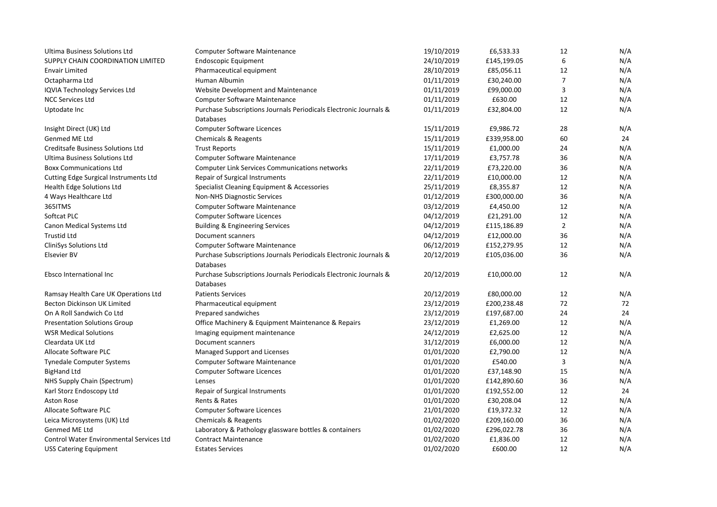| <b>Ultima Business Solutions Ltd</b>            | <b>Computer Software Maintenance</b>                              | 19/10/2019 | £6,533.33   | 12             | N/A |
|-------------------------------------------------|-------------------------------------------------------------------|------------|-------------|----------------|-----|
| SUPPLY CHAIN COORDINATION LIMITED               | <b>Endoscopic Equipment</b>                                       | 24/10/2019 | £145,199.05 | 6              | N/A |
| <b>Envair Limited</b>                           | Pharmaceutical equipment                                          | 28/10/2019 | £85,056.11  | 12             | N/A |
| Octapharma Ltd                                  | Human Albumin                                                     | 01/11/2019 | £30,240.00  | 7              | N/A |
| IQVIA Technology Services Ltd                   | Website Development and Maintenance                               | 01/11/2019 | £99,000.00  | 3              | N/A |
| <b>NCC Services Ltd</b>                         | Computer Software Maintenance                                     | 01/11/2019 | £630.00     | 12             | N/A |
| Uptodate Inc                                    | Purchase Subscriptions Journals Periodicals Electronic Journals & | 01/11/2019 | £32,804.00  | 12             | N/A |
|                                                 | Databases                                                         |            |             |                |     |
| Insight Direct (UK) Ltd                         | <b>Computer Software Licences</b>                                 | 15/11/2019 | £9,986.72   | 28             | N/A |
| Genmed ME Ltd                                   | Chemicals & Reagents                                              | 15/11/2019 | £339,958.00 | 60             | 24  |
| Creditsafe Business Solutions Ltd               | <b>Trust Reports</b>                                              | 15/11/2019 | £1,000.00   | 24             | N/A |
| Ultima Business Solutions Ltd                   | <b>Computer Software Maintenance</b>                              | 17/11/2019 | £3,757.78   | 36             | N/A |
| <b>Boxx Communications Ltd</b>                  | <b>Computer Link Services Communications networks</b>             | 22/11/2019 | £73,220.00  | 36             | N/A |
| Cutting Edge Surgical Instruments Ltd           | <b>Repair of Surgical Instruments</b>                             | 22/11/2019 | £10,000.00  | 12             | N/A |
| Health Edge Solutions Ltd                       | Specialist Cleaning Equipment & Accessories                       | 25/11/2019 | £8,355.87   | 12             | N/A |
| 4 Ways Healthcare Ltd                           | <b>Non-NHS Diagnostic Services</b>                                | 01/12/2019 | £300,000.00 | 36             | N/A |
| 365ITMS                                         | Computer Software Maintenance                                     | 03/12/2019 | £4,450.00   | 12             | N/A |
| Softcat PLC                                     | <b>Computer Software Licences</b>                                 | 04/12/2019 | £21,291.00  | 12             | N/A |
| Canon Medical Systems Ltd                       | <b>Building &amp; Engineering Services</b>                        | 04/12/2019 | £115,186.89 | $\overline{2}$ | N/A |
| <b>Trustid Ltd</b>                              | Document scanners                                                 | 04/12/2019 | £12,000.00  | 36             | N/A |
| CliniSys Solutions Ltd                          | Computer Software Maintenance                                     | 06/12/2019 | £152,279.95 | 12             | N/A |
| <b>Elsevier BV</b>                              | Purchase Subscriptions Journals Periodicals Electronic Journals & | 20/12/2019 | £105,036.00 | 36             | N/A |
|                                                 | <b>Databases</b>                                                  |            |             |                |     |
| Ebsco International Inc                         | Purchase Subscriptions Journals Periodicals Electronic Journals & | 20/12/2019 | £10,000.00  | 12             | N/A |
|                                                 | Databases                                                         |            |             |                |     |
| Ramsay Health Care UK Operations Ltd            | <b>Patients Services</b>                                          | 20/12/2019 | £80,000.00  | 12             | N/A |
| Becton Dickinson UK Limited                     | Pharmaceutical equipment                                          | 23/12/2019 | £200,238.48 | 72             | 72  |
| On A Roll Sandwich Co Ltd                       | Prepared sandwiches                                               | 23/12/2019 | £197,687.00 | 24             | 24  |
| <b>Presentation Solutions Group</b>             | Office Machinery & Equipment Maintenance & Repairs                | 23/12/2019 | £1,269.00   | 12             | N/A |
| <b>WSR Medical Solutions</b>                    | Imaging equipment maintenance                                     | 24/12/2019 | £2,625.00   | 12             | N/A |
| Cleardata UK Ltd                                | Document scanners                                                 | 31/12/2019 | £6,000.00   | 12             | N/A |
| Allocate Software PLC                           | Managed Support and Licenses                                      | 01/01/2020 | £2,790.00   | 12             | N/A |
| Tynedale Computer Systems                       | Computer Software Maintenance                                     | 01/01/2020 | £540.00     | 3              | N/A |
| <b>BigHand Ltd</b>                              | <b>Computer Software Licences</b>                                 | 01/01/2020 | £37,148.90  | 15             | N/A |
| NHS Supply Chain (Spectrum)                     | Lenses                                                            | 01/01/2020 | £142,890.60 | 36             | N/A |
| Karl Storz Endoscopy Ltd                        | Repair of Surgical Instruments                                    | 01/01/2020 | £192,552.00 | 12             | 24  |
| Aston Rose                                      | Rents & Rates                                                     | 01/01/2020 | £30,208.04  | 12             | N/A |
| Allocate Software PLC                           | <b>Computer Software Licences</b>                                 | 21/01/2020 | £19,372.32  | 12             | N/A |
| Leica Microsystems (UK) Ltd                     | Chemicals & Reagents                                              | 01/02/2020 | £209,160.00 | 36             | N/A |
| Genmed ME Ltd                                   | Laboratory & Pathology glassware bottles & containers             | 01/02/2020 | £296,022.78 | 36             | N/A |
| <b>Control Water Environmental Services Ltd</b> | <b>Contract Maintenance</b>                                       | 01/02/2020 | £1,836.00   | 12             | N/A |
| <b>USS Catering Equipment</b>                   | <b>Estates Services</b>                                           | 01/02/2020 | £600.00     | 12             | N/A |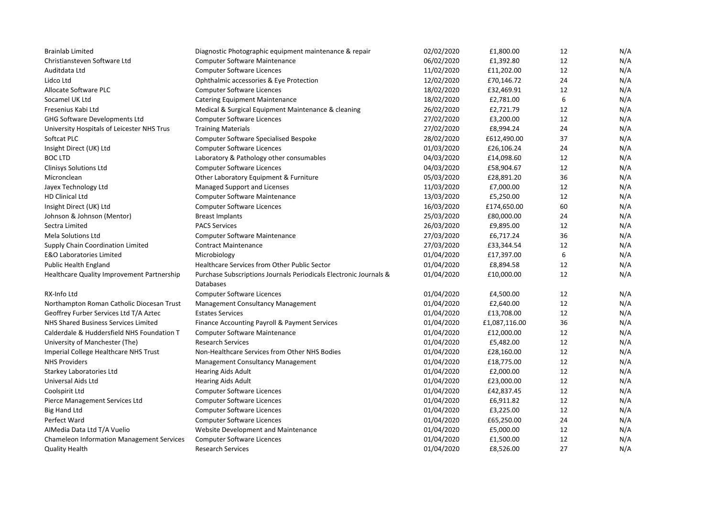| <b>Brainlab Limited</b>                    | Diagnostic Photographic equipment maintenance & repair            | 02/02/2020 | £1,800.00     | 12 | N/A |
|--------------------------------------------|-------------------------------------------------------------------|------------|---------------|----|-----|
| Christiansteven Software Ltd               | <b>Computer Software Maintenance</b>                              | 06/02/2020 | £1,392.80     | 12 | N/A |
| Auditdata Ltd                              | <b>Computer Software Licences</b>                                 | 11/02/2020 | £11,202.00    | 12 | N/A |
| Lidco Ltd                                  | Ophthalmic accessories & Eye Protection                           | 12/02/2020 | £70,146.72    | 24 | N/A |
| Allocate Software PLC                      | <b>Computer Software Licences</b>                                 | 18/02/2020 | £32,469.91    | 12 | N/A |
| Socamel UK Ltd                             | <b>Catering Equipment Maintenance</b>                             | 18/02/2020 | £2,781.00     | 6  | N/A |
| Fresenius Kabi Ltd                         | Medical & Surgical Equipment Maintenance & cleaning               | 26/02/2020 | £2,721.79     | 12 | N/A |
| GHG Software Developments Ltd              | <b>Computer Software Licences</b>                                 | 27/02/2020 | £3,200.00     | 12 | N/A |
| University Hospitals of Leicester NHS Trus | <b>Training Materials</b>                                         | 27/02/2020 | £8,994.24     | 24 | N/A |
| Softcat PLC                                | <b>Computer Software Specialised Bespoke</b>                      | 28/02/2020 | £612,490.00   | 37 | N/A |
| Insight Direct (UK) Ltd                    | <b>Computer Software Licences</b>                                 | 01/03/2020 | £26,106.24    | 24 | N/A |
| <b>BOC LTD</b>                             | Laboratory & Pathology other consumables                          | 04/03/2020 | £14,098.60    | 12 | N/A |
| <b>Clinisys Solutions Ltd</b>              | <b>Computer Software Licences</b>                                 | 04/03/2020 | £58,904.67    | 12 | N/A |
| Micronclean                                | Other Laboratory Equipment & Furniture                            | 05/03/2020 | £28,891.20    | 36 | N/A |
| Jayex Technology Ltd                       | Managed Support and Licenses                                      | 11/03/2020 | £7,000.00     | 12 | N/A |
| HD Clinical Ltd                            | Computer Software Maintenance                                     | 13/03/2020 | £5,250.00     | 12 | N/A |
| Insight Direct (UK) Ltd                    | <b>Computer Software Licences</b>                                 | 16/03/2020 | £174,650.00   | 60 | N/A |
| Johnson & Johnson (Mentor)                 | <b>Breast Implants</b>                                            | 25/03/2020 | £80,000.00    | 24 | N/A |
| Sectra Limited                             | <b>PACS Services</b>                                              | 26/03/2020 | £9,895.00     | 12 | N/A |
| <b>Mela Solutions Ltd</b>                  | <b>Computer Software Maintenance</b>                              | 27/03/2020 | £6,717.24     | 36 | N/A |
| Supply Chain Coordination Limited          | <b>Contract Maintenance</b>                                       | 27/03/2020 | £33,344.54    | 12 | N/A |
| <b>E&amp;O Laboratories Limited</b>        | Microbiology                                                      | 01/04/2020 | £17,397.00    | 6  | N/A |
| <b>Public Health England</b>               | Healthcare Services from Other Public Sector                      | 01/04/2020 | £8,894.58     | 12 | N/A |
| Healthcare Quality Improvement Partnership | Purchase Subscriptions Journals Periodicals Electronic Journals & | 01/04/2020 | £10,000.00    | 12 | N/A |
|                                            | <b>Databases</b>                                                  |            |               |    |     |
| RX-Info Ltd                                | <b>Computer Software Licences</b>                                 | 01/04/2020 | £4,500.00     | 12 | N/A |
| Northampton Roman Catholic Diocesan Trust  | Management Consultancy Management                                 | 01/04/2020 | £2,640.00     | 12 | N/A |
| Geoffrey Furber Services Ltd T/A Aztec     | <b>Estates Services</b>                                           | 01/04/2020 | £13,708.00    | 12 | N/A |
| NHS Shared Business Services Limited       | Finance Accounting Payroll & Payment Services                     | 01/04/2020 | £1,087,116.00 | 36 | N/A |
| Calderdale & Huddersfield NHS Foundation T | <b>Computer Software Maintenance</b>                              | 01/04/2020 | £12,000.00    | 12 | N/A |
| University of Manchester (The)             | <b>Research Services</b>                                          | 01/04/2020 | £5,482.00     | 12 | N/A |
| Imperial College Healthcare NHS Trust      | Non-Healthcare Services from Other NHS Bodies                     | 01/04/2020 | £28,160.00    | 12 | N/A |
| <b>NHS Providers</b>                       | Management Consultancy Management                                 | 01/04/2020 | £18,775.00    | 12 | N/A |
| Starkey Laboratories Ltd                   | <b>Hearing Aids Adult</b>                                         | 01/04/2020 | £2,000.00     | 12 | N/A |
| Universal Aids Ltd                         | <b>Hearing Aids Adult</b>                                         | 01/04/2020 | £23,000.00    | 12 | N/A |
| Coolspirit Ltd                             | <b>Computer Software Licences</b>                                 | 01/04/2020 | £42,837.45    | 12 | N/A |
| Pierce Management Services Ltd             | <b>Computer Software Licences</b>                                 | 01/04/2020 | £6,911.82     | 12 | N/A |
| <b>Big Hand Ltd</b>                        | <b>Computer Software Licences</b>                                 | 01/04/2020 | £3,225.00     | 12 | N/A |
| Perfect Ward                               | <b>Computer Software Licences</b>                                 | 01/04/2020 | £65,250.00    | 24 | N/A |
| AIMedia Data Ltd T/A Vuelio                | Website Development and Maintenance                               | 01/04/2020 | £5,000.00     | 12 | N/A |
| Chameleon Information Management Services  | <b>Computer Software Licences</b>                                 | 01/04/2020 | £1,500.00     | 12 | N/A |
| <b>Quality Health</b>                      | <b>Research Services</b>                                          | 01/04/2020 | £8,526.00     | 27 | N/A |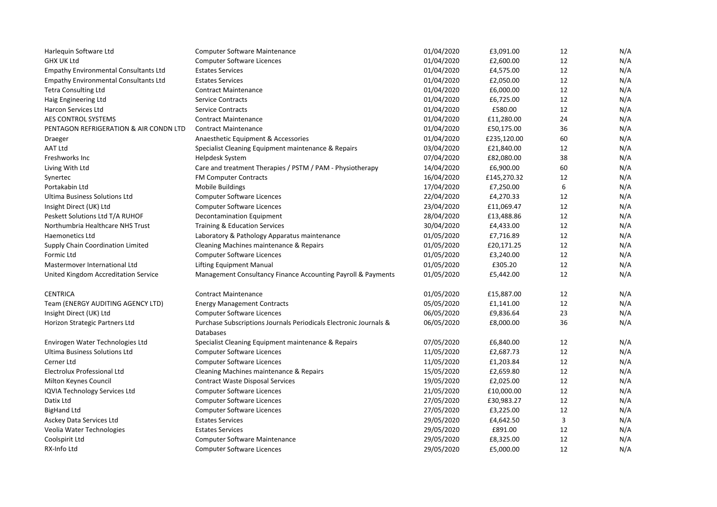| Harlequin Software Ltd                       | <b>Computer Software Maintenance</b>                                                  | 01/04/2020 | £3,091.00   | 12 | N/A |
|----------------------------------------------|---------------------------------------------------------------------------------------|------------|-------------|----|-----|
| <b>GHX UK Ltd</b>                            | <b>Computer Software Licences</b>                                                     | 01/04/2020 | £2,600.00   | 12 | N/A |
| <b>Empathy Environmental Consultants Ltd</b> | <b>Estates Services</b>                                                               | 01/04/2020 | £4,575.00   | 12 | N/A |
| <b>Empathy Environmental Consultants Ltd</b> | <b>Estates Services</b>                                                               | 01/04/2020 | £2,050.00   | 12 | N/A |
| <b>Tetra Consulting Ltd</b>                  | <b>Contract Maintenance</b>                                                           | 01/04/2020 | £6,000.00   | 12 | N/A |
| Haig Engineering Ltd                         | <b>Service Contracts</b>                                                              | 01/04/2020 | £6,725.00   | 12 | N/A |
| <b>Harcon Services Ltd</b>                   | <b>Service Contracts</b>                                                              | 01/04/2020 | £580.00     | 12 | N/A |
| AES CONTROL SYSTEMS                          | <b>Contract Maintenance</b>                                                           | 01/04/2020 | £11,280.00  | 24 | N/A |
| PENTAGON REFRIGERATION & AIR CONDN LTD       | <b>Contract Maintenance</b>                                                           | 01/04/2020 | £50,175.00  | 36 | N/A |
| Draeger                                      | Anaesthetic Equipment & Accessories                                                   | 01/04/2020 | £235,120.00 | 60 | N/A |
| <b>AAT Ltd</b>                               | Specialist Cleaning Equipment maintenance & Repairs                                   | 03/04/2020 | £21,840.00  | 12 | N/A |
| Freshworks Inc                               | Helpdesk System                                                                       | 07/04/2020 | £82,080.00  | 38 | N/A |
| Living With Ltd                              | Care and treatment Therapies / PSTM / PAM - Physiotherapy                             | 14/04/2020 | £6,900.00   | 60 | N/A |
| Synertec                                     | <b>FM Computer Contracts</b>                                                          | 16/04/2020 | £145,270.32 | 12 | N/A |
| Portakabin Ltd                               | Mobile Buildings                                                                      | 17/04/2020 | £7,250.00   | 6  | N/A |
| Ultima Business Solutions Ltd                | Computer Software Licences                                                            | 22/04/2020 | £4,270.33   | 12 | N/A |
| Insight Direct (UK) Ltd                      | <b>Computer Software Licences</b>                                                     | 23/04/2020 | £11,069.47  | 12 | N/A |
| Peskett Solutions Ltd T/A RUHOF              | Decontamination Equipment                                                             | 28/04/2020 | £13,488.86  | 12 | N/A |
| Northumbria Healthcare NHS Trust             | <b>Training &amp; Education Services</b>                                              | 30/04/2020 | £4,433.00   | 12 | N/A |
| <b>Haemonetics Ltd</b>                       | Laboratory & Pathology Apparatus maintenance                                          | 01/05/2020 | £7,716.89   | 12 | N/A |
| Supply Chain Coordination Limited            | Cleaning Machines maintenance & Repairs                                               | 01/05/2020 | £20,171.25  | 12 | N/A |
| Formic Ltd                                   | <b>Computer Software Licences</b>                                                     | 01/05/2020 | £3,240.00   | 12 | N/A |
| Mastermover International Ltd                | <b>Lifting Equipment Manual</b>                                                       | 01/05/2020 | £305.20     | 12 | N/A |
| United Kingdom Accreditation Service         | Management Consultancy Finance Accounting Payroll & Payments                          | 01/05/2020 | £5,442.00   | 12 | N/A |
| <b>CENTRICA</b>                              | <b>Contract Maintenance</b>                                                           | 01/05/2020 | £15,887.00  | 12 | N/A |
| Team (ENERGY AUDITING AGENCY LTD)            | <b>Energy Management Contracts</b>                                                    | 05/05/2020 | £1,141.00   | 12 | N/A |
| Insight Direct (UK) Ltd                      | <b>Computer Software Licences</b>                                                     | 06/05/2020 | £9,836.64   | 23 | N/A |
| Horizon Strategic Partners Ltd               | Purchase Subscriptions Journals Periodicals Electronic Journals &<br><b>Databases</b> | 06/05/2020 | £8,000.00   | 36 | N/A |
| Envirogen Water Technologies Ltd             | Specialist Cleaning Equipment maintenance & Repairs                                   | 07/05/2020 | £6,840.00   | 12 | N/A |
| Ultima Business Solutions Ltd                | <b>Computer Software Licences</b>                                                     | 11/05/2020 | £2,687.73   | 12 | N/A |
| Cerner Ltd                                   | <b>Computer Software Licences</b>                                                     | 11/05/2020 | £1,203.84   | 12 | N/A |
| Electrolux Professional Ltd                  | Cleaning Machines maintenance & Repairs                                               | 15/05/2020 | £2,659.80   | 12 | N/A |
| Milton Keynes Council                        | <b>Contract Waste Disposal Services</b>                                               | 19/05/2020 | £2,025.00   | 12 | N/A |
| IQVIA Technology Services Ltd                | <b>Computer Software Licences</b>                                                     | 21/05/2020 | £10,000.00  | 12 | N/A |
| Datix Ltd                                    | <b>Computer Software Licences</b>                                                     | 27/05/2020 | £30,983.27  | 12 | N/A |
| <b>BigHand Ltd</b>                           | <b>Computer Software Licences</b>                                                     | 27/05/2020 | £3,225.00   | 12 | N/A |
| Asckey Data Services Ltd                     | <b>Estates Services</b>                                                               | 29/05/2020 | £4,642.50   | 3  | N/A |
| Veolia Water Technologies                    | <b>Estates Services</b>                                                               | 29/05/2020 | £891.00     | 12 | N/A |
| Coolspirit Ltd                               | <b>Computer Software Maintenance</b>                                                  | 29/05/2020 | £8,325.00   | 12 | N/A |
| RX-Info Ltd                                  | <b>Computer Software Licences</b>                                                     | 29/05/2020 | £5,000.00   | 12 | N/A |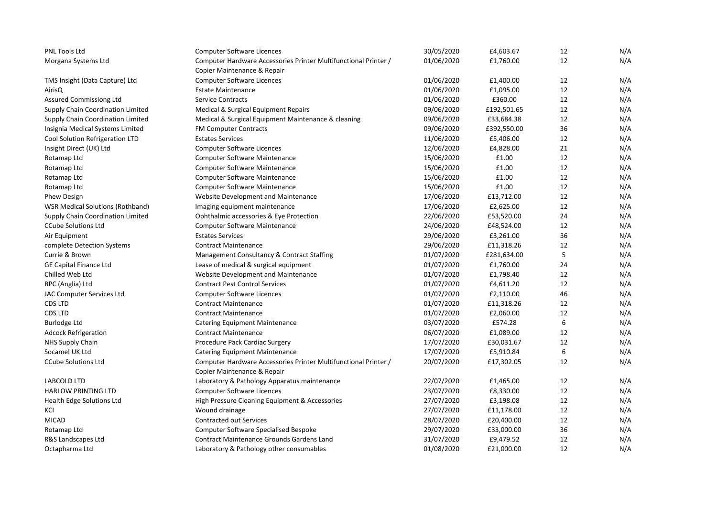| <b>PNL Tools Ltd</b>                    | <b>Computer Software Licences</b>                               | 30/05/2020 | £4,603.67   | 12 | N/A |
|-----------------------------------------|-----------------------------------------------------------------|------------|-------------|----|-----|
| Morgana Systems Ltd                     | Computer Hardware Accessories Printer Multifunctional Printer / | 01/06/2020 | £1,760.00   | 12 | N/A |
|                                         | Copier Maintenance & Repair                                     |            |             |    |     |
| TMS Insight (Data Capture) Ltd          | <b>Computer Software Licences</b>                               | 01/06/2020 | £1,400.00   | 12 | N/A |
| AirisQ                                  | <b>Estate Maintenance</b>                                       | 01/06/2020 | £1,095.00   | 12 | N/A |
| <b>Assured Commissiong Ltd</b>          | <b>Service Contracts</b>                                        | 01/06/2020 | £360.00     | 12 | N/A |
| Supply Chain Coordination Limited       | Medical & Surgical Equipment Repairs                            | 09/06/2020 | £192,501.65 | 12 | N/A |
| Supply Chain Coordination Limited       | Medical & Surgical Equipment Maintenance & cleaning             | 09/06/2020 | £33,684.38  | 12 | N/A |
| Insignia Medical Systems Limited        | <b>FM Computer Contracts</b>                                    | 09/06/2020 | £392,550.00 | 36 | N/A |
| Cool Solution Refrigeration LTD         | <b>Estates Services</b>                                         | 11/06/2020 | £5,406.00   | 12 | N/A |
| Insight Direct (UK) Ltd                 | <b>Computer Software Licences</b>                               | 12/06/2020 | £4,828.00   | 21 | N/A |
| Rotamap Ltd                             | Computer Software Maintenance                                   | 15/06/2020 | £1.00       | 12 | N/A |
| Rotamap Ltd                             | <b>Computer Software Maintenance</b>                            | 15/06/2020 | £1.00       | 12 | N/A |
| Rotamap Ltd                             | Computer Software Maintenance                                   | 15/06/2020 | £1.00       | 12 | N/A |
| Rotamap Ltd                             | <b>Computer Software Maintenance</b>                            | 15/06/2020 | £1.00       | 12 | N/A |
| <b>Phew Design</b>                      | Website Development and Maintenance                             | 17/06/2020 | £13,712.00  | 12 | N/A |
| <b>WSR Medical Solutions (Rothband)</b> | Imaging equipment maintenance                                   | 17/06/2020 | £2,625.00   | 12 | N/A |
| Supply Chain Coordination Limited       | Ophthalmic accessories & Eye Protection                         | 22/06/2020 | £53,520.00  | 24 | N/A |
| <b>CCube Solutions Ltd</b>              | <b>Computer Software Maintenance</b>                            | 24/06/2020 | £48,524.00  | 12 | N/A |
| Air Equipment                           | <b>Estates Services</b>                                         | 29/06/2020 | £3,261.00   | 36 | N/A |
| complete Detection Systems              | <b>Contract Maintenance</b>                                     | 29/06/2020 | £11,318.26  | 12 | N/A |
| Currie & Brown                          | Management Consultancy & Contract Staffing                      | 01/07/2020 | £281,634.00 | 5  | N/A |
| <b>GE Capital Finance Ltd</b>           | Lease of medical & surgical equipment                           | 01/07/2020 | £1,760.00   | 24 | N/A |
| Chilled Web Ltd                         | Website Development and Maintenance                             | 01/07/2020 | £1,798.40   | 12 | N/A |
| BPC (Anglia) Ltd                        | <b>Contract Pest Control Services</b>                           | 01/07/2020 | £4,611.20   | 12 | N/A |
| JAC Computer Services Ltd               | <b>Computer Software Licences</b>                               | 01/07/2020 | £2,110.00   | 46 | N/A |
| CDS LTD                                 | <b>Contract Maintenance</b>                                     | 01/07/2020 | £11,318.26  | 12 | N/A |
| CDS LTD                                 | <b>Contract Maintenance</b>                                     | 01/07/2020 | £2,060.00   | 12 | N/A |
| <b>Burlodge Ltd</b>                     | <b>Catering Equipment Maintenance</b>                           | 03/07/2020 | £574.28     | 6  | N/A |
| <b>Adcock Refrigeration</b>             | <b>Contract Maintenance</b>                                     | 06/07/2020 | £1,089.00   | 12 | N/A |
| NHS Supply Chain                        | Procedure Pack Cardiac Surgery                                  | 17/07/2020 | £30,031.67  | 12 | N/A |
| Socamel UK Ltd                          | <b>Catering Equipment Maintenance</b>                           | 17/07/2020 | £5,910.84   | 6  | N/A |
| <b>CCube Solutions Ltd</b>              | Computer Hardware Accessories Printer Multifunctional Printer / | 20/07/2020 | £17,302.05  | 12 | N/A |
|                                         | Copier Maintenance & Repair                                     |            |             |    |     |
| LABCOLD LTD                             | Laboratory & Pathology Apparatus maintenance                    | 22/07/2020 | £1,465.00   | 12 | N/A |
| <b>HARLOW PRINTING LTD</b>              | <b>Computer Software Licences</b>                               | 23/07/2020 | £8,330.00   | 12 | N/A |
| Health Edge Solutions Ltd               | High Pressure Cleaning Equipment & Accessories                  | 27/07/2020 | £3,198.08   | 12 | N/A |
| KCI                                     | Wound drainage                                                  | 27/07/2020 | £11,178.00  | 12 | N/A |
| <b>MICAD</b>                            | Contracted out Services                                         | 28/07/2020 | £20,400.00  | 12 | N/A |
| Rotamap Ltd                             | <b>Computer Software Specialised Bespoke</b>                    | 29/07/2020 | £33,000.00  | 36 | N/A |
| R&S Landscapes Ltd                      | <b>Contract Maintenance Grounds Gardens Land</b>                | 31/07/2020 | £9,479.52   | 12 | N/A |
| Octapharma Ltd                          | Laboratory & Pathology other consumables                        | 01/08/2020 | £21,000.00  | 12 | N/A |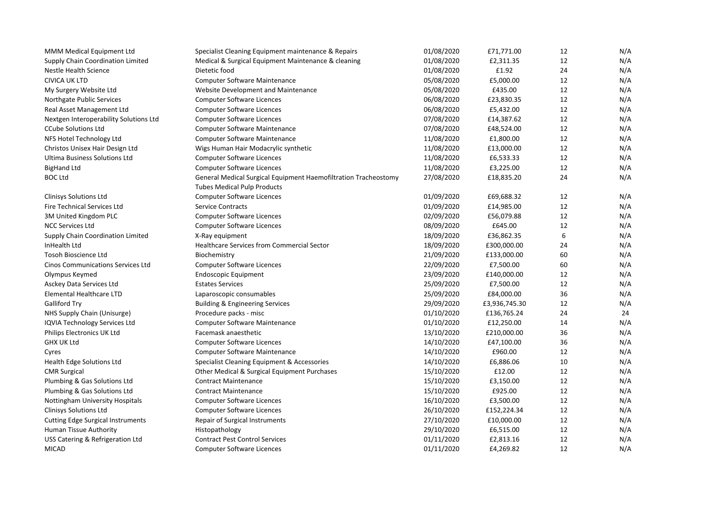| MMM Medical Equipment Ltd                | Specialist Cleaning Equipment maintenance & Repairs             | 01/08/2020 | £71,771.00    | 12 | N/A |
|------------------------------------------|-----------------------------------------------------------------|------------|---------------|----|-----|
| Supply Chain Coordination Limited        | Medical & Surgical Equipment Maintenance & cleaning             | 01/08/2020 | £2,311.35     | 12 | N/A |
| <b>Nestle Health Science</b>             | Dietetic food                                                   | 01/08/2020 | £1.92         | 24 | N/A |
| <b>CIVICA UK LTD</b>                     | Computer Software Maintenance                                   | 05/08/2020 | £5,000.00     | 12 | N/A |
| My Surgery Website Ltd                   | Website Development and Maintenance                             | 05/08/2020 | £435.00       | 12 | N/A |
| Northgate Public Services                | <b>Computer Software Licences</b>                               | 06/08/2020 | £23,830.35    | 12 | N/A |
| Real Asset Management Ltd                | <b>Computer Software Licences</b>                               | 06/08/2020 | £5,432.00     | 12 | N/A |
| Nextgen Interoperability Solutions Ltd   | <b>Computer Software Licences</b>                               | 07/08/2020 | £14,387.62    | 12 | N/A |
| <b>CCube Solutions Ltd</b>               | <b>Computer Software Maintenance</b>                            | 07/08/2020 | £48,524.00    | 12 | N/A |
| NFS Hotel Technology Ltd                 | <b>Computer Software Maintenance</b>                            | 11/08/2020 | £1,800.00     | 12 | N/A |
| Christos Unisex Hair Design Ltd          | Wigs Human Hair Modacrylic synthetic                            | 11/08/2020 | £13,000.00    | 12 | N/A |
| Ultima Business Solutions Ltd            | <b>Computer Software Licences</b>                               | 11/08/2020 | £6,533.33     | 12 | N/A |
| <b>BigHand Ltd</b>                       | <b>Computer Software Licences</b>                               | 11/08/2020 | £3,225.00     | 12 | N/A |
| <b>BOC Ltd</b>                           | General Medical Surgical Equipment Haemofiltration Tracheostomy | 27/08/2020 | £18,835.20    | 24 | N/A |
|                                          | <b>Tubes Medical Pulp Products</b>                              |            |               |    |     |
| <b>Clinisys Solutions Ltd</b>            | <b>Computer Software Licences</b>                               | 01/09/2020 | £69,688.32    | 12 | N/A |
| Fire Technical Services Ltd              | <b>Service Contracts</b>                                        | 01/09/2020 | £14,985.00    | 12 | N/A |
| 3M United Kingdom PLC                    | <b>Computer Software Licences</b>                               | 02/09/2020 | £56,079.88    | 12 | N/A |
| <b>NCC Services Ltd</b>                  | <b>Computer Software Licences</b>                               | 08/09/2020 | £645.00       | 12 | N/A |
| Supply Chain Coordination Limited        | X-Ray equipment                                                 | 18/09/2020 | £36,862.35    | 6  | N/A |
| InHealth Ltd                             | <b>Healthcare Services from Commercial Sector</b>               | 18/09/2020 | £300,000.00   | 24 | N/A |
| <b>Tosoh Bioscience Ltd</b>              | Biochemistry                                                    | 21/09/2020 | £133,000.00   | 60 | N/A |
| <b>Cinos Communications Services Ltd</b> | <b>Computer Software Licences</b>                               | 22/09/2020 | £7,500.00     | 60 | N/A |
| Olympus Keymed                           | <b>Endoscopic Equipment</b>                                     | 23/09/2020 | £140,000.00   | 12 | N/A |
| Asckey Data Services Ltd                 | <b>Estates Services</b>                                         | 25/09/2020 | £7,500.00     | 12 | N/A |
| Elemental Healthcare LTD                 | Laparoscopic consumables                                        | 25/09/2020 | £84,000.00    | 36 | N/A |
| <b>Galliford Try</b>                     | <b>Building &amp; Engineering Services</b>                      | 29/09/2020 | £3,936,745.30 | 12 | N/A |
| NHS Supply Chain (Unisurge)              | Procedure packs - misc                                          | 01/10/2020 | £136,765.24   | 24 | 24  |
| IQVIA Technology Services Ltd            | <b>Computer Software Maintenance</b>                            | 01/10/2020 | £12,250.00    | 14 | N/A |
| Philips Electronics UK Ltd               | Facemask anaesthetic                                            | 13/10/2020 | £210,000.00   | 36 | N/A |
| <b>GHX UK Ltd</b>                        | <b>Computer Software Licences</b>                               | 14/10/2020 | £47,100.00    | 36 | N/A |
| Cyres                                    | Computer Software Maintenance                                   | 14/10/2020 | £960.00       | 12 | N/A |
| Health Edge Solutions Ltd                | Specialist Cleaning Equipment & Accessories                     | 14/10/2020 | £6,886.06     | 10 | N/A |
| <b>CMR Surgical</b>                      | Other Medical & Surgical Equipment Purchases                    | 15/10/2020 | £12.00        | 12 | N/A |
| Plumbing & Gas Solutions Ltd             | <b>Contract Maintenance</b>                                     | 15/10/2020 | £3,150.00     | 12 | N/A |
| Plumbing & Gas Solutions Ltd             | <b>Contract Maintenance</b>                                     | 15/10/2020 | £925.00       | 12 | N/A |
| Nottingham University Hospitals          | <b>Computer Software Licences</b>                               | 16/10/2020 | £3,500.00     | 12 | N/A |
| <b>Clinisys Solutions Ltd</b>            | <b>Computer Software Licences</b>                               | 26/10/2020 | £152,224.34   | 12 | N/A |
| <b>Cutting Edge Surgical Instruments</b> | Repair of Surgical Instruments                                  | 27/10/2020 | £10,000.00    | 12 | N/A |
| Human Tissue Authority                   | Histopathology                                                  | 29/10/2020 | £6,515.00     | 12 | N/A |
| USS Catering & Refrigeration Ltd         | <b>Contract Pest Control Services</b>                           | 01/11/2020 | £2,813.16     | 12 | N/A |
| <b>MICAD</b>                             | <b>Computer Software Licences</b>                               | 01/11/2020 | £4,269.82     | 12 | N/A |
|                                          |                                                                 |            |               |    |     |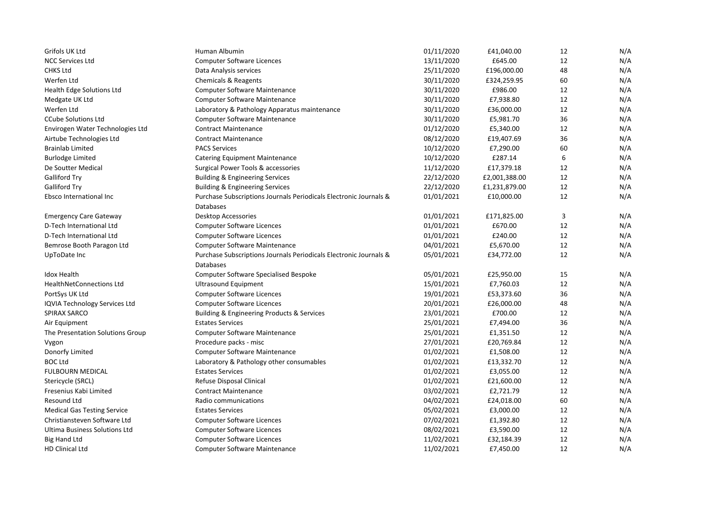| Grifols UK Ltd                     | Human Albumin                                                     | 01/11/2020 | £41,040.00    | 12     | N/A |
|------------------------------------|-------------------------------------------------------------------|------------|---------------|--------|-----|
| <b>NCC Services Ltd</b>            | Computer Software Licences                                        | 13/11/2020 | £645.00       | 12     | N/A |
| <b>CHKS Ltd</b>                    | Data Analysis services                                            | 25/11/2020 | £196,000.00   | 48     | N/A |
| Werfen Ltd                         | Chemicals & Reagents                                              | 30/11/2020 | £324,259.95   | 60     | N/A |
| Health Edge Solutions Ltd          | Computer Software Maintenance                                     | 30/11/2020 | £986.00       | 12     | N/A |
| Medgate UK Ltd                     | Computer Software Maintenance                                     | 30/11/2020 | £7,938.80     | 12     | N/A |
| Werfen Ltd                         | Laboratory & Pathology Apparatus maintenance                      | 30/11/2020 | £36,000.00    | 12     | N/A |
| <b>CCube Solutions Ltd</b>         | Computer Software Maintenance                                     | 30/11/2020 | £5,981.70     | 36     | N/A |
| Envirogen Water Technologies Ltd   | <b>Contract Maintenance</b>                                       | 01/12/2020 | £5,340.00     | 12     | N/A |
| Airtube Technologies Ltd           | <b>Contract Maintenance</b>                                       | 08/12/2020 | £19,407.69    | 36     | N/A |
| <b>Brainlab Limited</b>            | <b>PACS Services</b>                                              | 10/12/2020 | £7,290.00     | 60     | N/A |
| <b>Burlodge Limited</b>            | <b>Catering Equipment Maintenance</b>                             | 10/12/2020 | £287.14       | 6      | N/A |
| De Soutter Medical                 | Surgical Power Tools & accessories                                | 11/12/2020 | £17,379.18    | 12     | N/A |
| <b>Galliford Try</b>               | <b>Building &amp; Engineering Services</b>                        | 22/12/2020 | £2,001,388.00 | 12     | N/A |
| <b>Galliford Try</b>               | <b>Building &amp; Engineering Services</b>                        | 22/12/2020 | £1,231,879.00 | 12     | N/A |
| Ebsco International Inc            | Purchase Subscriptions Journals Periodicals Electronic Journals & | 01/01/2021 | £10,000.00    | 12     | N/A |
|                                    | Databases                                                         |            |               |        |     |
| <b>Emergency Care Gateway</b>      | Desktop Accessories                                               | 01/01/2021 | £171,825.00   | 3      | N/A |
| D-Tech International Ltd           | <b>Computer Software Licences</b>                                 | 01/01/2021 | £670.00       | 12     | N/A |
| D-Tech International Ltd           | <b>Computer Software Licences</b>                                 | 01/01/2021 | £240.00       | 12     | N/A |
| Bemrose Booth Paragon Ltd          | Computer Software Maintenance                                     | 04/01/2021 | £5,670.00     | 12     | N/A |
| UpToDate Inc                       | Purchase Subscriptions Journals Periodicals Electronic Journals & | 05/01/2021 | £34,772.00    | 12     | N/A |
|                                    | Databases                                                         |            |               |        |     |
| <b>Idox Health</b>                 | Computer Software Specialised Bespoke                             | 05/01/2021 | £25,950.00    | 15     | N/A |
| <b>HealthNetConnections Ltd</b>    | <b>Ultrasound Equipment</b>                                       | 15/01/2021 | £7,760.03     | 12     | N/A |
| PortSys UK Ltd                     | <b>Computer Software Licences</b>                                 | 19/01/2021 | £53,373.60    | 36     | N/A |
| IQVIA Technology Services Ltd      | Computer Software Licences                                        | 20/01/2021 | £26,000.00    | 48     | N/A |
| SPIRAX SARCO                       | Building & Engineering Products & Services                        | 23/01/2021 | £700.00       | 12     | N/A |
| Air Equipment                      | <b>Estates Services</b>                                           | 25/01/2021 | £7,494.00     | 36     | N/A |
| The Presentation Solutions Group   | <b>Computer Software Maintenance</b>                              | 25/01/2021 | £1,351.50     | 12     | N/A |
| Vygon                              | Procedure packs - misc                                            | 27/01/2021 | £20,769.84    | 12     | N/A |
| Donorfy Limited                    | Computer Software Maintenance                                     | 01/02/2021 | £1,508.00     | 12     | N/A |
| <b>BOC Ltd</b>                     | Laboratory & Pathology other consumables                          | 01/02/2021 | £13,332.70    | 12     | N/A |
| <b>FULBOURN MEDICAL</b>            | <b>Estates Services</b>                                           | 01/02/2021 | £3,055.00     | 12     | N/A |
| Stericycle (SRCL)                  | Refuse Disposal Clinical                                          | 01/02/2021 | £21,600.00    | 12     | N/A |
| Fresenius Kabi Limited             | <b>Contract Maintenance</b>                                       | 03/02/2021 | £2,721.79     | 12     | N/A |
| Resound Ltd                        | Radio communications                                              | 04/02/2021 | £24,018.00    | 60     | N/A |
| <b>Medical Gas Testing Service</b> | <b>Estates Services</b>                                           | 05/02/2021 | £3,000.00     | $12\,$ | N/A |
| Christiansteven Software Ltd       | <b>Computer Software Licences</b>                                 | 07/02/2021 | £1,392.80     | 12     | N/A |
| Ultima Business Solutions Ltd      | Computer Software Licences                                        | 08/02/2021 | £3,590.00     | 12     | N/A |
| <b>Big Hand Ltd</b>                | <b>Computer Software Licences</b>                                 | 11/02/2021 | £32,184.39    | 12     | N/A |
| <b>HD Clinical Ltd</b>             | <b>Computer Software Maintenance</b>                              | 11/02/2021 | £7,450.00     | 12     | N/A |